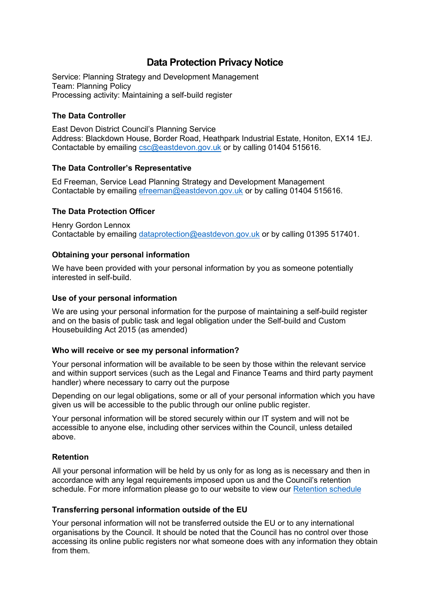# **Data Protection Privacy Notice**

Service: Planning Strategy and Development Management Team: Planning Policy Processing activity: Maintaining a self-build register

## **The Data Controller**

East Devon District Council's Planning Service Address: Blackdown House, Border Road, Heathpark Industrial Estate, Honiton, EX14 1EJ. Contactable by emailing [csc@eastdevon.gov.uk](mailto:csc@eastdevon.gov.uk) or by calling 01404 515616.

## **The Data Controller's Representative**

Ed Freeman, Service Lead Planning Strategy and Development Management Contactable by emailing [efreeman@eastdevon.gov.uk](mailto:efreeman@eastdevon.gov.uk) or by calling 01404 515616.

## **The Data Protection Officer**

Henry Gordon Lennox Contactable by emailing [dataprotection@eastdevon.gov.uk](mailto:dataprotection@eastdevon.gov.uk) or by calling 01395 517401.

## **Obtaining your personal information**

We have been provided with your personal information by you as someone potentially interested in self-build.

#### **Use of your personal information**

We are using your personal information for the purpose of maintaining a self-build register and on the basis of public task and legal obligation under the Self-build and Custom Housebuilding Act 2015 (as amended)

#### **Who will receive or see my personal information?**

Your personal information will be available to be seen by those within the relevant service and within support services (such as the Legal and Finance Teams and third party payment handler) where necessary to carry out the purpose

Depending on our legal obligations, some or all of your personal information which you have given us will be accessible to the public through our online public register.

Your personal information will be stored securely within our IT system and will not be accessible to anyone else, including other services within the Council, unless detailed above.

#### **Retention**

All your personal information will be held by us only for as long as is necessary and then in accordance with any legal requirements imposed upon us and the Council's retention schedule. For more information please go to our website to view our [Retention schedule](http://eastdevon.gov.uk/access-to-information/data-protection/document-retention-schedules/)

#### **Transferring personal information outside of the EU**

Your personal information will not be transferred outside the EU or to any international organisations by the Council. It should be noted that the Council has no control over those accessing its online public registers nor what someone does with any information they obtain from them.